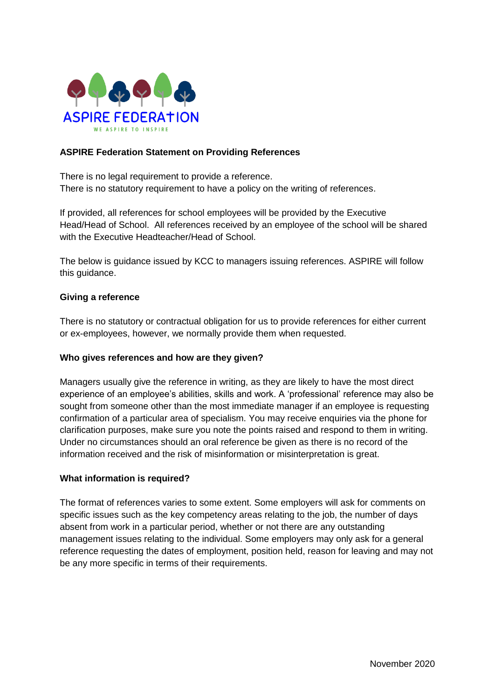

## **ASPIRE Federation Statement on Providing References**

There is no legal requirement to provide a reference. There is no statutory requirement to have a policy on the writing of references.

If provided, all references for school employees will be provided by the Executive Head/Head of School. All references received by an employee of the school will be shared with the Executive Headteacher/Head of School.

The below is guidance issued by KCC to managers issuing references. ASPIRE will follow this guidance.

### **Giving a reference**

There is no statutory or contractual obligation for us to provide references for either current or ex-employees, however, we normally provide them when requested.

### **Who gives references and how are they given?**

Managers usually give the reference in writing, as they are likely to have the most direct experience of an employee's abilities, skills and work. A 'professional' reference may also be sought from someone other than the most immediate manager if an employee is requesting confirmation of a particular area of specialism. You may receive enquiries via the phone for clarification purposes, make sure you note the points raised and respond to them in writing. Under no circumstances should an oral reference be given as there is no record of the information received and the risk of misinformation or misinterpretation is great.

#### **What information is required?**

The format of references varies to some extent. Some employers will ask for comments on specific issues such as the key competency areas relating to the job, the number of days absent from work in a particular period, whether or not there are any outstanding management issues relating to the individual. Some employers may only ask for a general reference requesting the dates of employment, position held, reason for leaving and may not be any more specific in terms of their requirements.